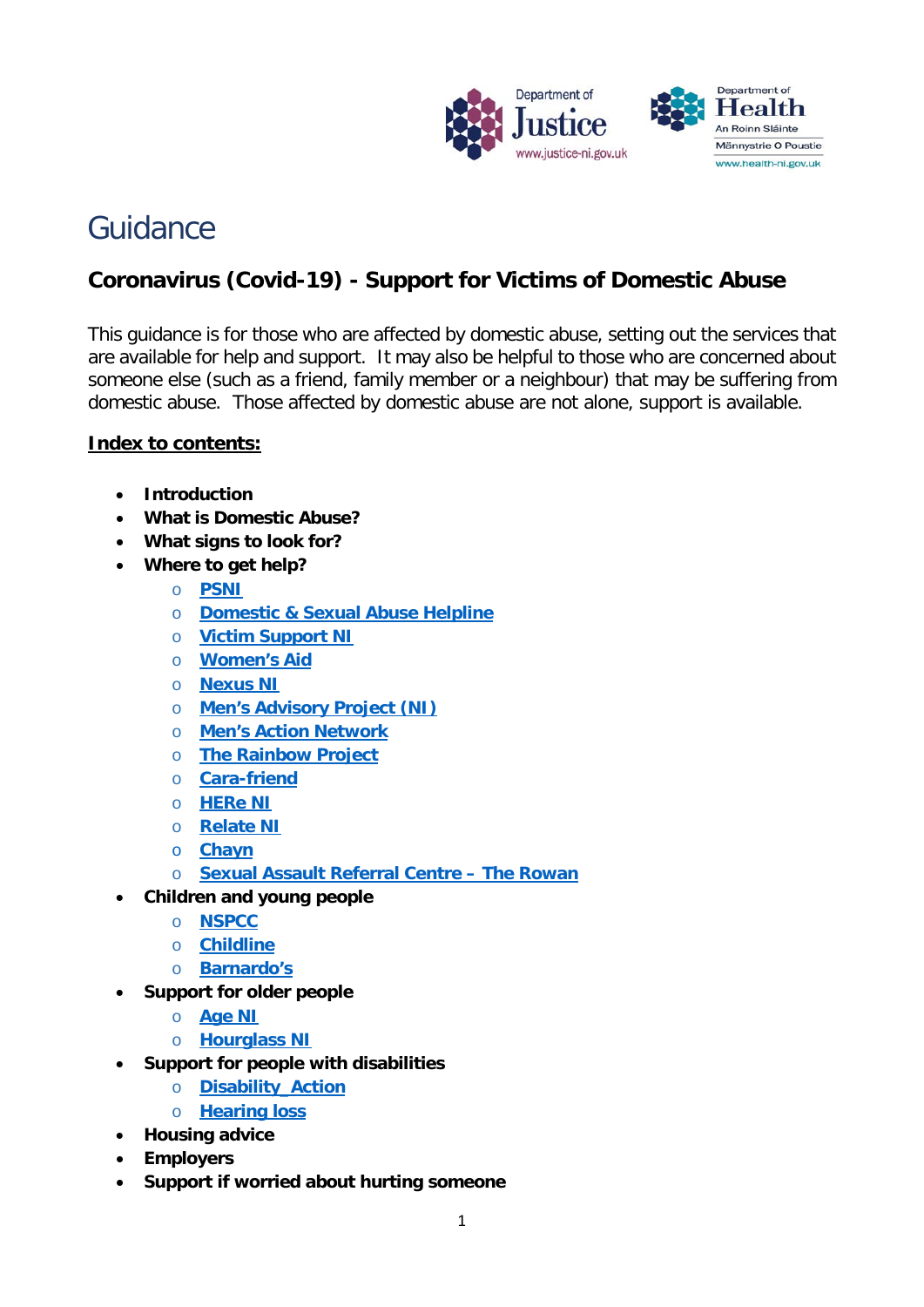

# Guidance

# **Coronavirus (Covid-19) - Support for Victims of Domestic Abuse**

This guidance is for those who are affected by domestic abuse, setting out the services that are available for help and support. It may also be helpful to those who are concerned about someone else (such as a friend, family member or a neighbour) that may be suffering from domestic abuse. Those affected by domestic abuse are not alone, support is available.

#### **Index to contents:**

- **Introduction**
- **What is Domestic Abuse?**
- **What signs to look for?**
- **Where to get help?**
	- o **[PSNI](#page-3-0)**
	- o **[Domestic & Sexual Abuse Helpline](#page-4-0)**
	- o **[Victim Support NI](#page-5-0)**
	- o **[Women's Aid](#page-5-1)**
	- o **[Nexus NI](#page-6-0)**
	- o **[Men's Advisory Project](#page-7-0) (NI)**
	- o **[Men's Action Ne](#page-7-1)twork**
	- o **[The Rainbow Project](#page-8-0)**
	- o **[Cara-friend](#page-8-1)**
	- o **[HERe NI](#page-9-0)**
	- o **[Relate NI](#page-9-1)**
	- o **[Chayn](#page-10-0)**
	- o **[Sexual Assault Referral Centre –](#page-10-1) The Rowan**
- **Children and young people**
	- o **[NSPCC](#page-11-0)**
	- o **[Childline](#page-11-1)**
	- o **[Barnardo's](#page-12-0)**
- **Support for older people**
	- o **[Age NI](#page-12-1)**
	- o **[Hourglass NI](#page-12-2)**
- **Support for people with disabilities**
	- o **[Disability\\_Action](#page-13-0)**
	- o **[Hearing loss](#page-13-1)**
- **Housing advice**
- **Employers**
- **Support if worried about hurting someone**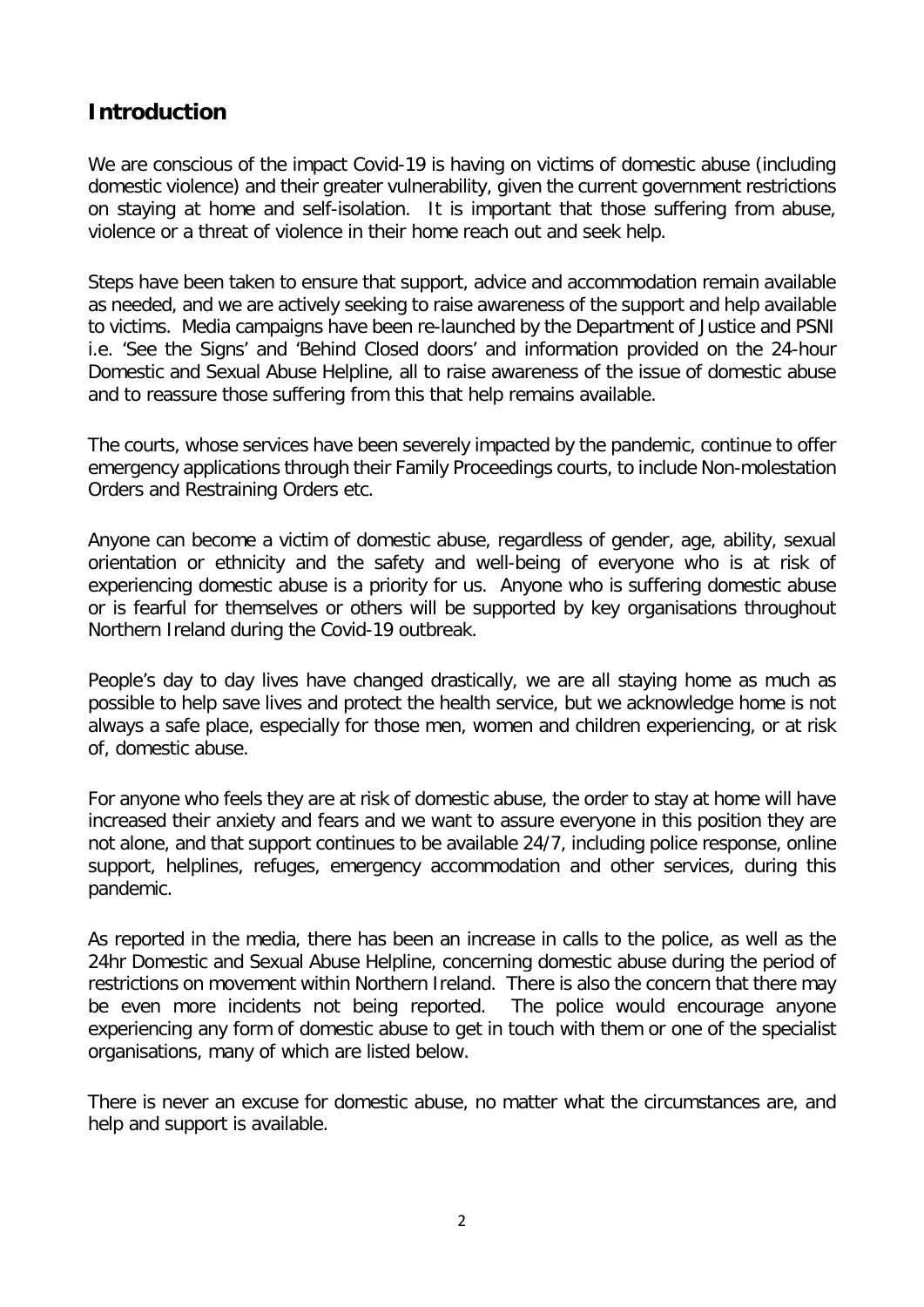# **Introduction**

We are conscious of the impact Covid-19 is having on victims of domestic abuse (including domestic violence) and their greater vulnerability, given the current government restrictions on staying at home and self-isolation. It is important that those suffering from abuse, violence or a threat of violence in their home reach out and seek help.

Steps have been taken to ensure that support, advice and accommodation remain available as needed, and we are actively seeking to raise awareness of the support and help available to victims. Media campaigns have been re-launched by the Department of Justice and PSNI i.e. 'See the Signs' and 'Behind Closed doors' and information provided on the 24-hour Domestic and Sexual Abuse Helpline, all to raise awareness of the issue of domestic abuse and to reassure those suffering from this that help remains available.

The courts, whose services have been severely impacted by the pandemic, continue to offer emergency applications through their Family Proceedings courts, to include Non-molestation Orders and Restraining Orders etc.

Anyone can become a victim of domestic abuse, regardless of gender, age, ability, sexual orientation or ethnicity and the safety and well-being of everyone who is at risk of experiencing domestic abuse is a priority for us. Anyone who is suffering domestic abuse or is fearful for themselves or others will be supported by key organisations throughout Northern Ireland during the Covid-19 outbreak.

People's day to day lives have changed drastically, we are all staying home as much as possible to help save lives and protect the health service, but we acknowledge home is not always a safe place, especially for those men, women and children experiencing, or at risk of, domestic abuse.

For anyone who feels they are at risk of domestic abuse, the order to stay at home will have increased their anxiety and fears and we want to assure everyone in this position they are not alone, and that support continues to be available 24/7, including police response, online support, helplines, refuges, emergency accommodation and other services, during this pandemic.

As reported in the media, there has been an increase in calls to the police, as well as the 24hr Domestic and Sexual Abuse Helpline, concerning domestic abuse during the period of restrictions on movement within Northern Ireland. There is also the concern that there may be even more incidents not being reported. The police would encourage anyone experiencing any form of domestic abuse to get in touch with them or one of the specialist organisations, many of which are listed below.

There is never an excuse for domestic abuse, no matter what the circumstances are, and help and support is available.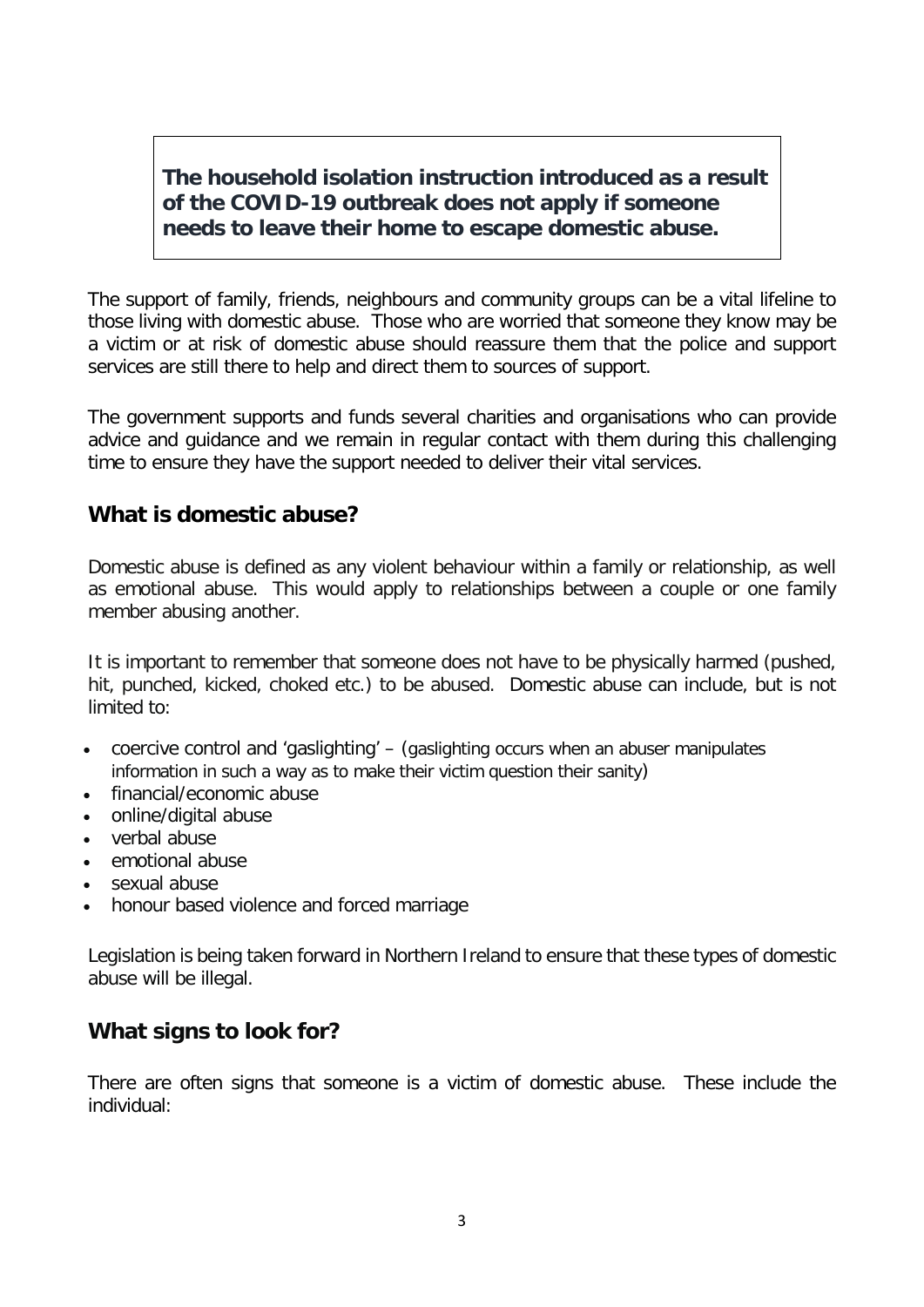### **The household isolation instruction introduced as a result of the COVID-19 outbreak does not apply if someone needs to leave their home to escape domestic abuse.**

The support of family, friends, neighbours and community groups can be a vital lifeline to those living with domestic abuse. Those who are worried that someone they know may be a victim or at risk of domestic abuse should reassure them that the police and support services are still there to help and direct them to sources of support.

The government supports and funds several charities and organisations who can provide advice and guidance and we remain in regular contact with them during this challenging time to ensure they have the support needed to deliver their vital services.

### **What is domestic abuse?**

Domestic abuse is defined as any violent behaviour within a family or relationship, as well as emotional abuse. This would apply to relationships between a couple or one family member abusing another.

It is important to remember that someone does not have to be physically harmed (pushed, hit, punched, kicked, choked etc.) to be abused. Domestic abuse can include, but is not limited to:

- coercive control and 'gaslighting' (gaslighting occurs when an abuser manipulates information in such a way as to make their victim question their sanity)
- financial/economic abuse
- online/digital abuse
- verbal abuse
- emotional abuse
- sexual abuse
- honour based violence and forced marriage

Legislation is being taken forward in Northern Ireland to ensure that these types of domestic abuse will be illegal.

### **What signs to look for?**

There are often signs that someone is a victim of domestic abuse. These include the individual: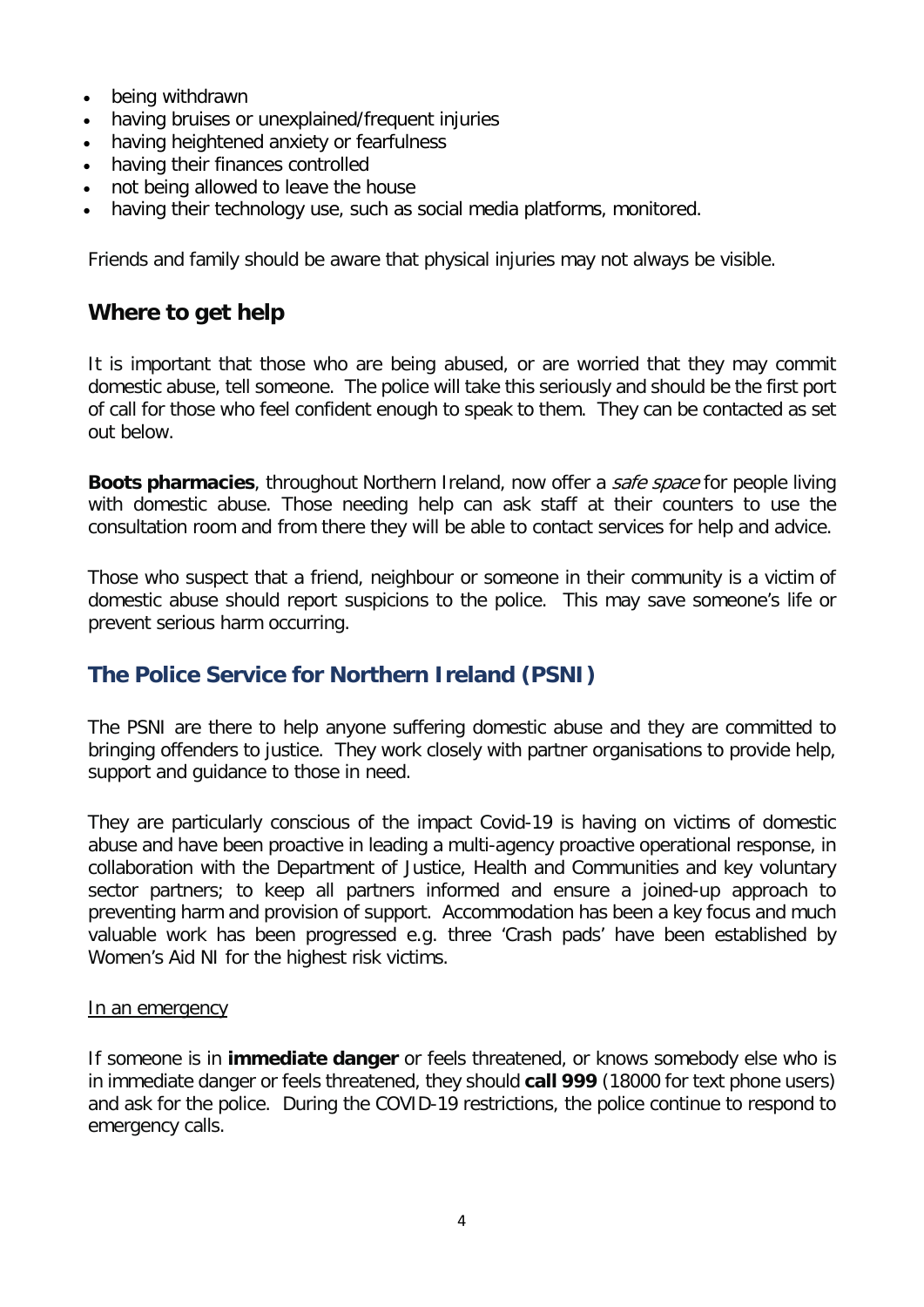- being withdrawn
- having bruises or unexplained/frequent injuries
- having heightened anxiety or fearfulness
- having their finances controlled
- not being allowed to leave the house
- having their technology use, such as social media platforms, monitored.

Friends and family should be aware that physical injuries may not always be visible.

#### **Where to get help**

It is important that those who are being abused, or are worried that they may commit domestic abuse, tell someone. The police will take this seriously and should be the first port of call for those who feel confident enough to speak to them. They can be contacted as set out below.

**Boots pharmacies**, throughout Northern Ireland, now offer a safe space for people living with domestic abuse. Those needing help can ask staff at their counters to use the consultation room and from there they will be able to contact services for help and advice.

Those who suspect that a friend, neighbour or someone in their community is a victim of domestic abuse should report suspicions to the police. This may save someone's life or prevent serious harm occurring.

#### <span id="page-3-0"></span>**The Police Service for Northern Ireland (PSNI)**

The PSNI are there to help anyone suffering domestic abuse and they are committed to bringing offenders to justice. They work closely with partner organisations to provide help, support and guidance to those in need.

They are particularly conscious of the impact Covid-19 is having on victims of domestic abuse and have been proactive in leading a multi-agency proactive operational response, in collaboration with the Department of Justice, Health and Communities and key voluntary sector partners; to keep all partners informed and ensure a joined-up approach to preventing harm and provision of support. Accommodation has been a key focus and much valuable work has been progressed e.g. three 'Crash pads' have been established by Women's Aid NI for the highest risk victims.

#### In an emergency

If someone is in **immediate danger** or feels threatened, or knows somebody else who is in immediate danger or feels threatened, they should **call 999** (18000 for text phone users) and ask for the police. During the COVID-19 restrictions, the police continue to respond to emergency calls.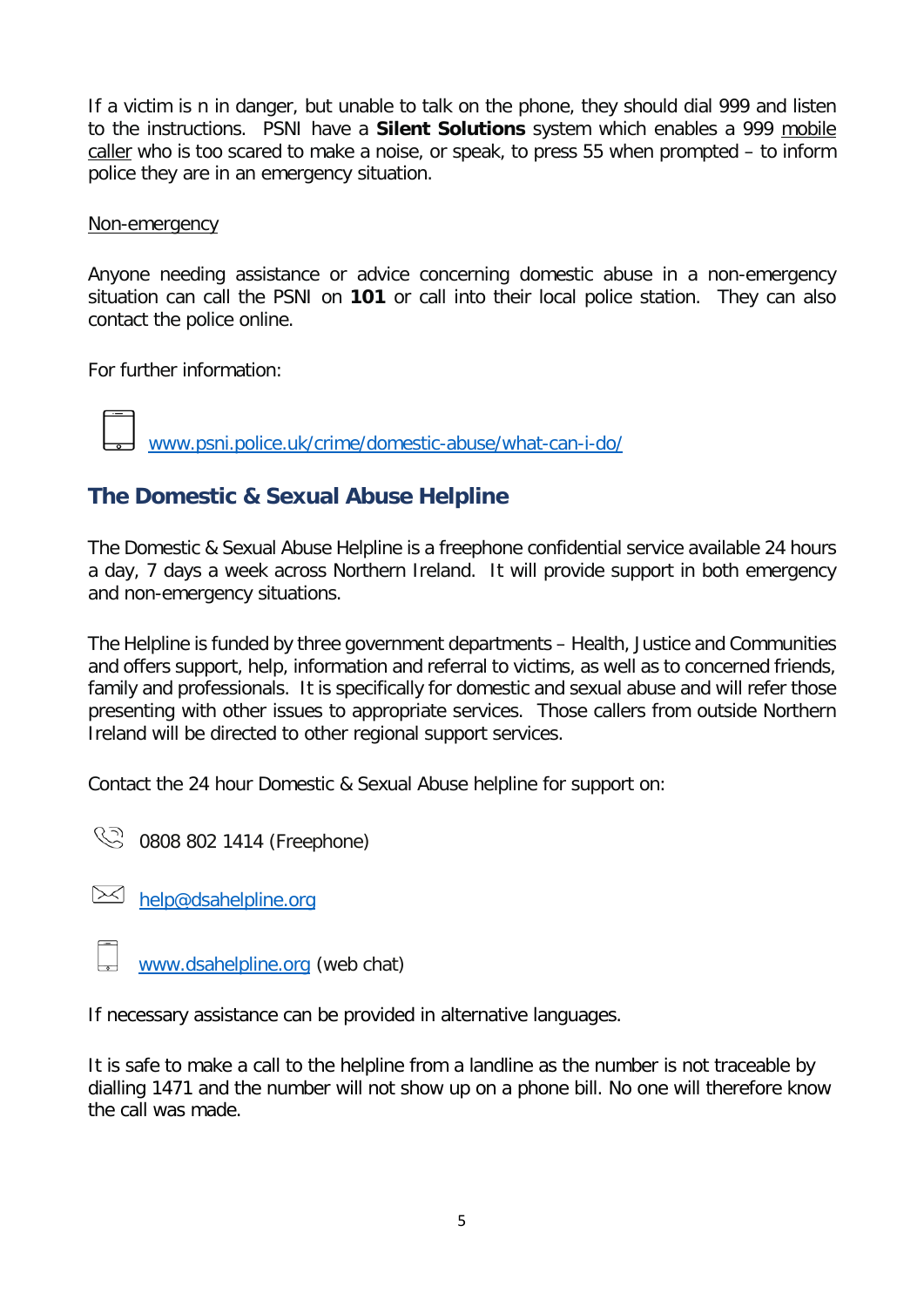If a victim is n in danger, but unable to talk on the phone, they should dial 999 and listen to the instructions. PSNI have a **Silent Solutions** system which enables a 999 mobile caller who is too scared to make a noise, or speak, to press 55 when prompted – to inform police they are in an emergency situation.

#### Non-emergency

Anyone needing assistance or advice concerning domestic abuse in a non-emergency situation can call the PSNI on **101** or call into their local police station. They can also contact the police online.

For further information:

[www.psni.police.uk/crime/domestic-abuse/what-can-i-do/](http://www.psni.police.uk/crime/domestic-abuse/what-can-i-do/)

# <span id="page-4-0"></span>**The Domestic & Sexual Abuse Helpline**

The Domestic & Sexual Abuse Helpline is a freephone confidential service available 24 hours a day, 7 days a week across Northern Ireland. It will provide support in both emergency and non-emergency situations.

The Helpline is funded by three government departments – Health, Justice and Communities and offers support, help, information and referral to victims, as well as to concerned friends, family and professionals. It is specifically for domestic and sexual abuse and will refer those presenting with other issues to appropriate services. Those callers from outside Northern Ireland will be directed to other regional support services.

Contact the 24 hour Domestic & Sexual Abuse helpline for support on:

© 0808 802 1414 (Freephone)

 $\boxtimes$  [help@dsahelpline.org](mailto:help@dsahelpline.org)

[www.dsahelpline.org](http://www.dsahelpline.org/) (web chat)

If necessary assistance can be provided in alternative languages.

It is safe to make a call to the helpline from a landline as the number is not traceable by dialling 1471 and the number will not show up on a phone bill. No one will therefore know the call was made.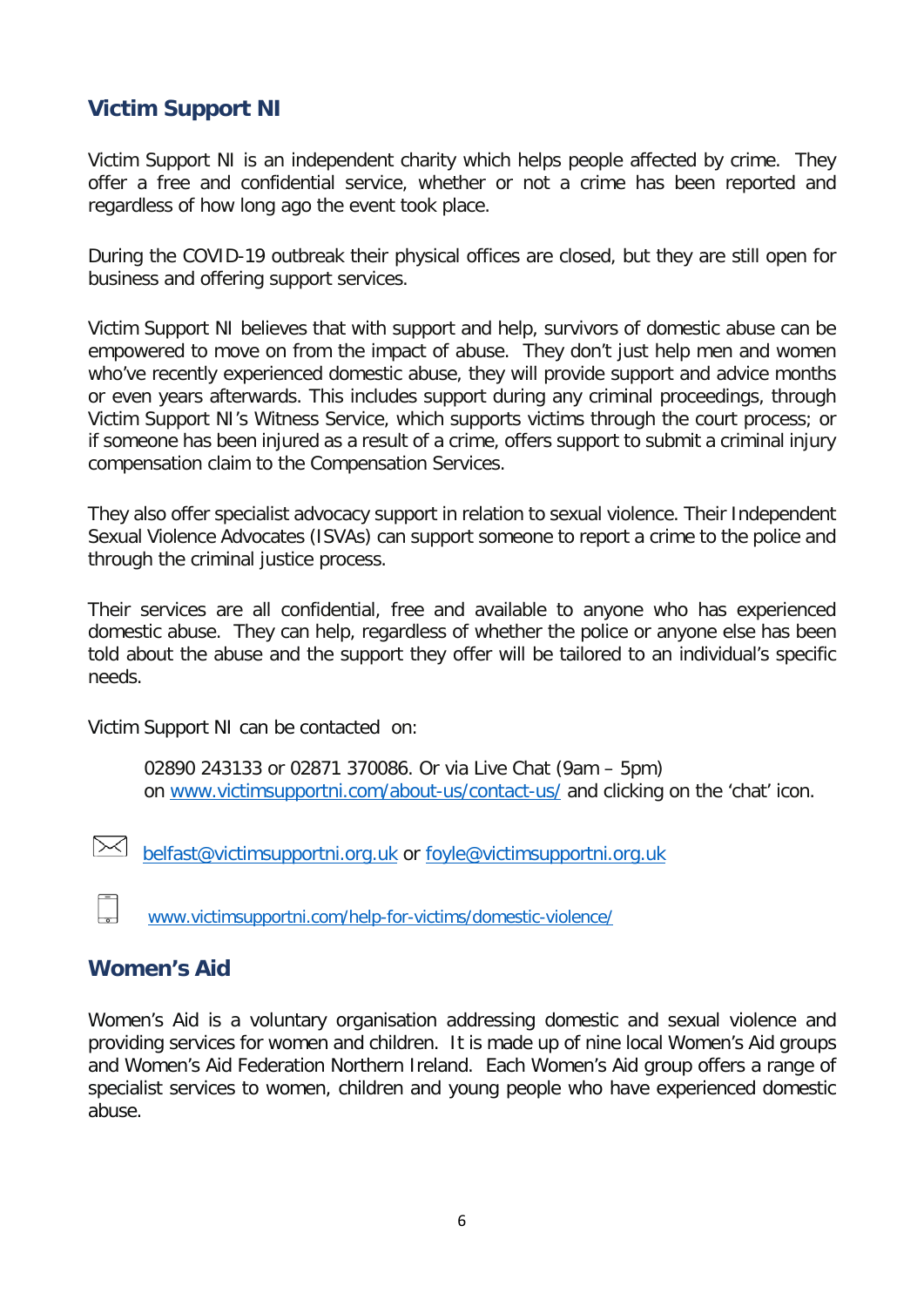### <span id="page-5-0"></span>**Victim Support NI**

Victim Support NI is an independent charity which helps people affected by crime. They offer a free and confidential service, whether or not a crime has been reported and regardless of how long ago the event took place.

During the COVID-19 outbreak their physical offices are closed, but they are still open for business and offering support services.

Victim Support NI believes that with support and help, survivors of domestic abuse can be empowered to move on from the impact of abuse. They don't just help men and women who've recently experienced domestic abuse, they will provide support and advice months or even years afterwards. This includes support during any criminal proceedings, through Victim Support NI's Witness Service, which supports victims through the court process; or if someone has been injured as a result of a crime, offers support to submit a criminal injury compensation claim to the Compensation Services.

They also offer specialist advocacy support in relation to sexual violence. Their Independent Sexual Violence Advocates (ISVAs) can support someone to report a crime to the police and through the criminal justice process.

Their services are all confidential, free and available to anyone who has experienced domestic abuse. They can help, regardless of whether the police or anyone else has been told about the abuse and the support they offer will be tailored to an individual's specific needs.

Victim Support NI can be contacted on:

02890 243133 or 02871 370086. Or via Live Chat (9am – 5pm) on [www.victimsupportni.com/about-us/contact-us/](http://www.victimsupportni.com/about-us/contact-us/) and clicking on the 'chat' icon.

[belfast@victimsupportni.org.uk](mailto:belfast@victimsupportni.org.uk) or [foyle@victimsupportni.org.uk](mailto:foyle@victimsupportni.org.uk)

[www.victimsupportni.com/help-for-victims/domestic-violence/](http://www.victimsupportni.com/help-for-victims/domestic-violence/)

#### <span id="page-5-1"></span>**Women's Aid**

Women's Aid is a voluntary organisation addressing domestic and sexual violence and providing services for women and children. It is made up of nine local Women's Aid groups and Women's Aid Federation Northern Ireland. Each Women's Aid group offers a range of specialist services to women, children and young people who have experienced domestic abuse.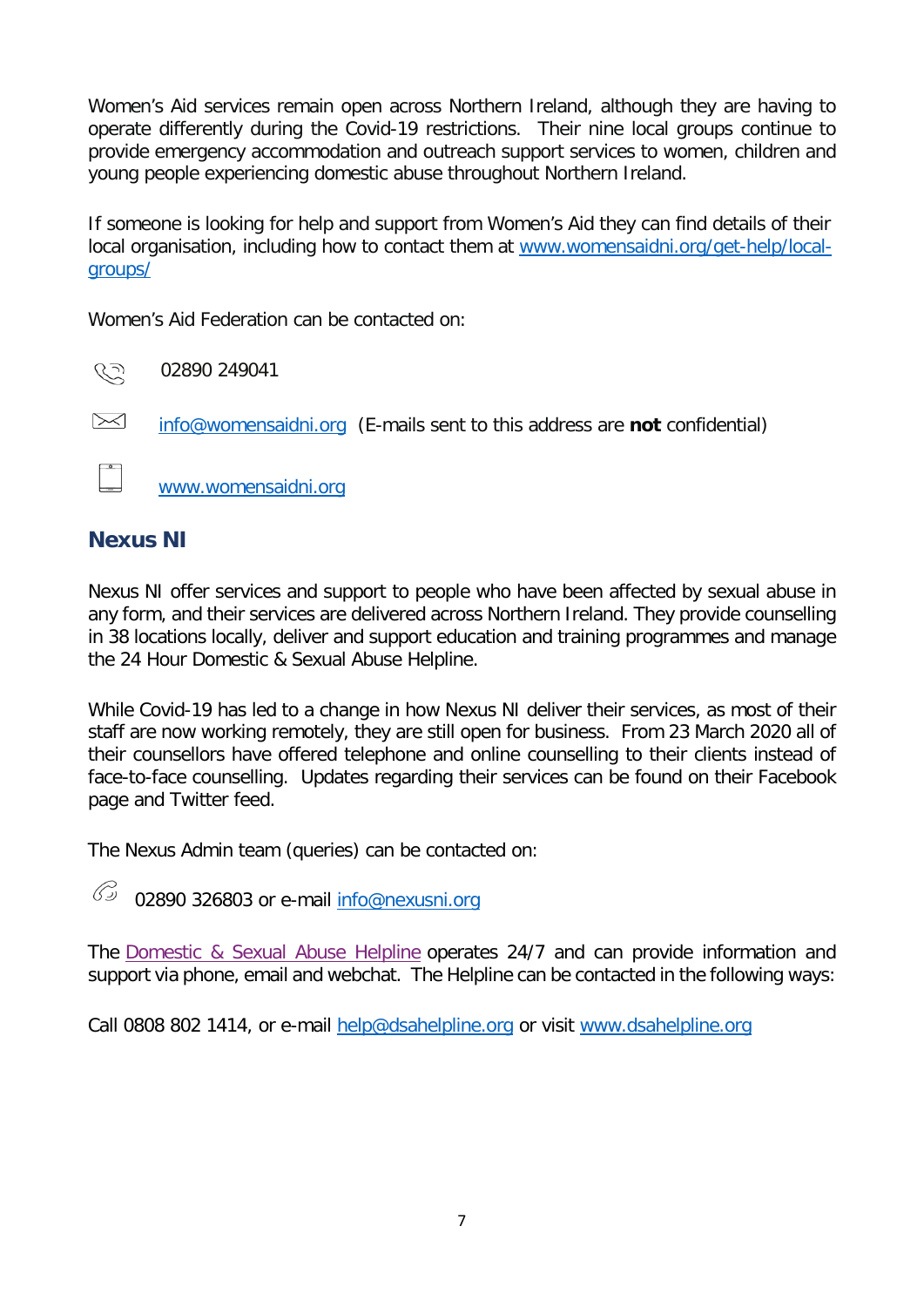Women's Aid services remain open across Northern Ireland, although they are having to operate differently during the Covid-19 restrictions. Their nine local groups continue to provide emergency accommodation and outreach support services to women, children and young people experiencing domestic abuse throughout Northern Ireland.

If someone is looking for help and support from Women's Aid they can find details of their local organisation, including how to contact them at [www.womensaidni.org/get-help/local](http://www.womensaidni.org/get-help/local-groups/)[groups/](http://www.womensaidni.org/get-help/local-groups/)

Women's Aid Federation can be contacted on:

رتر کا 02890 249041

[info@womensaidni.org](mailto:info@womensaidni.org) (E-mails sent to this address are **not** confidential)

www.womensaidni.org

#### <span id="page-6-0"></span>**Nexus NI**

Nexus NI offer services and support to people who have been affected by sexual abuse in any form, and their services are delivered across Northern Ireland. They provide counselling in 38 locations locally, deliver and support education and training programmes and manage the 24 Hour Domestic & Sexual Abuse Helpline.

While Covid-19 has led to a change in how Nexus NI deliver their services, as most of their staff are now working remotely, they are still open for business. From 23 March 2020 all of their counsellors have offered telephone and online counselling to their clients instead of face-to-face counselling. Updates regarding their services can be found on their Facebook page and Twitter feed.

The Nexus Admin team (queries) can be contacted on:

 $\mathscr{C}$ 02890 326803 or e-mail [info@nexusni.org](mailto:info@nexusni.org)

The [Domestic & Sexual Abuse Helpline](https://www.facebook.com/dsahelpline/?__tn__=K-R&eid=ARCECNoSrqOL1NcrEBIlL61Ca3RiPndn0FRjp_ANWDXb6_2jnb30iMJ6YVejR_8IeAn7pPEaGMnW-ZQv&fref=mentions&__xts__%5B0%5D=68.ARCikSdbFwMCP0OjVBe7jmE5coM67McEmYYJzcFnmoogd9ck17CEwDJ43eeF1M-zht3kV6eWjzQurHjQaX4W_fxgHmknAp-OJnaCTnSn8JPVVmxDwX3QGyiiyuUp-s6z3nrfAzchnkLrioffZWBinCWBPUTolw_vsAqSVZsoiKxIk9PJ5KVfjFK7hDJT0XC5-GYptOgqYpzpO6yThzysV6lPZnDdJ-s_CUjFL4ekjUGONfdY482Lf7blwwpfRKm2W7sU-efGJbFz-k_nz8zkpwiw9w5NDt2GeticV4AHyu2JfUWNBPH8ABVrP4i1lBnQM297Q2gHFNKBoJoA7l4Gpg_FBiTQvMS4rw) operates 24/7 and can provide information and support via phone, email and webchat. The Helpline can be contacted in the following ways:

Call 0808 802 1414, or e-mail [help@dsahelpline.org](mailto:help@dsahelpline.org) or visit [www.dsahelpline.org](http://www.dsahelpline.org/)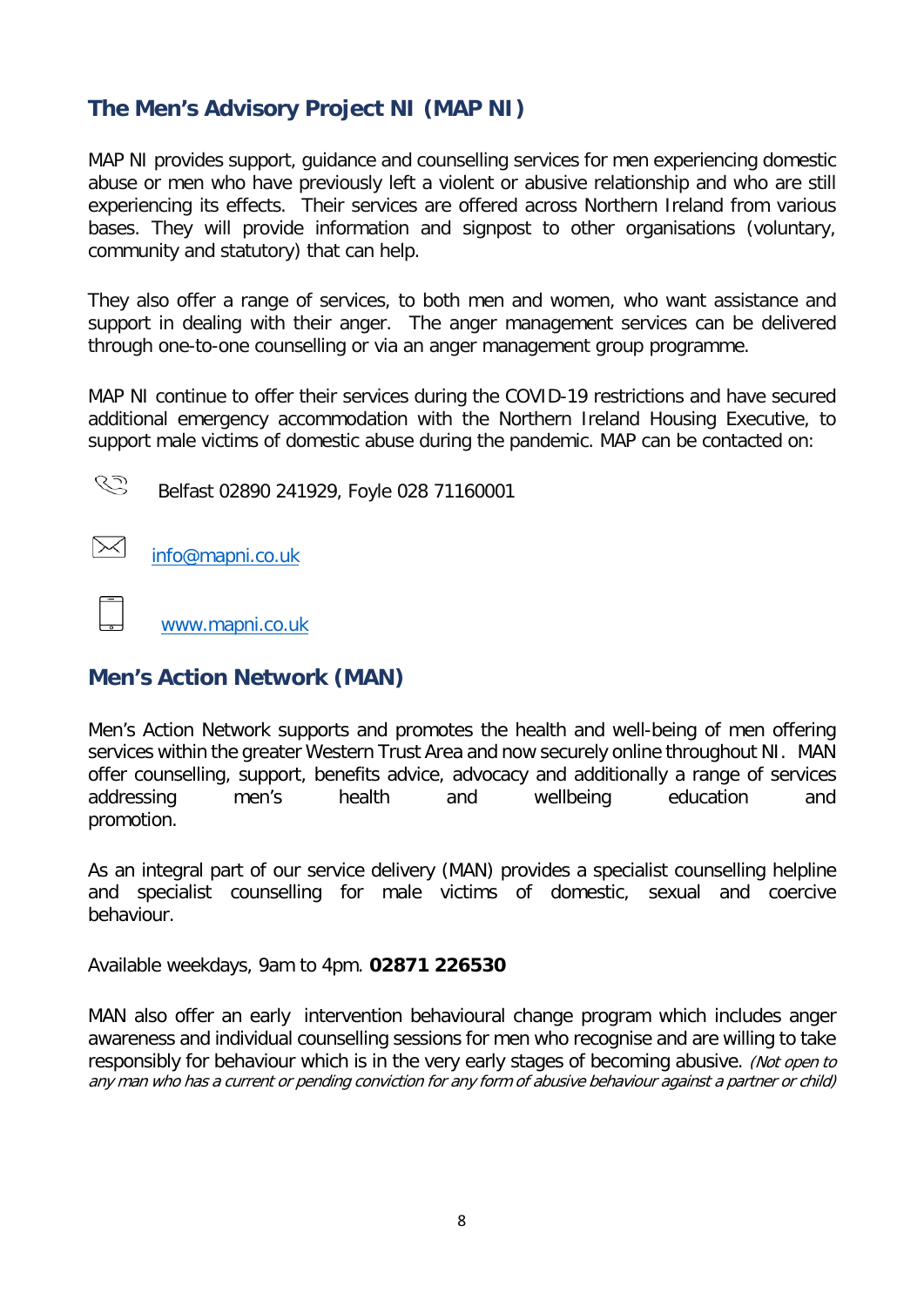## <span id="page-7-0"></span>**The Men's Advisory Project NI (MAP NI)**

MAP NI provides support, guidance and counselling services for men experiencing domestic abuse or men who have previously left a violent or abusive relationship and who are still experiencing its effects. Their services are offered across Northern Ireland from various bases. They will provide information and signpost to other organisations (voluntary, community and statutory) that can help.

They also offer a range of services, to both men and women, who want assistance and support in dealing with their anger. The anger management services can be delivered through one-to-one counselling or via an anger management group programme.

MAP NI continue to offer their services during the COVID-19 restrictions and have secured additional emergency accommodation with the Northern Ireland Housing Executive, to support male victims of domestic abuse during the pandemic. MAP can be contacted on:

CS

Belfast 02890 241929, Foyle 028 71160001

▷ [info@mapni.co.uk](mailto:info@mapni.co.uk)

[www.mapni.co.uk](http://www.mapni.co.uk/)

### <span id="page-7-1"></span>**Men's Action Network (MAN)**

Men's Action Network supports and promotes the health and well-being of men offering services within the greater Western Trust Area and now securely online throughout NI. MAN offer counselling, support, benefits advice, advocacy and additionally a range of services addressing men's health and wellbeing education and promotion.

As an integral part of our service delivery (MAN) provides a specialist counselling helpline and specialist counselling for male victims of domestic, sexual and coercive behaviour.

Available weekdays, 9am to 4pm. **02871 226530**

MAN also offer an early intervention behavioural change program which includes anger awareness and individual counselling sessions for men who recognise and are willing to take responsibly for behaviour which is in the very early stages of becoming abusive. (Not open to any man who has a current or pending conviction for any form of abusive behaviour against a partner or child)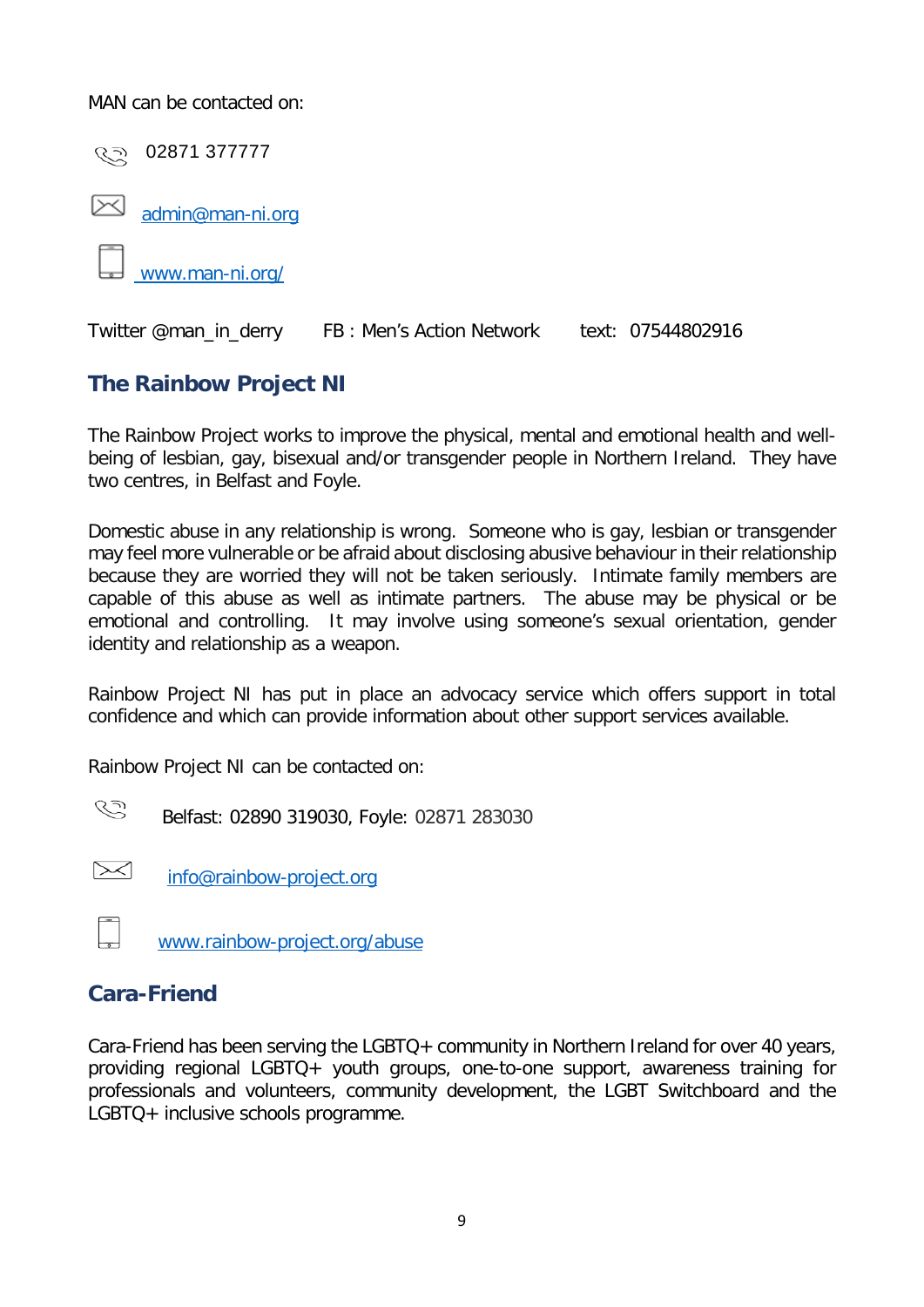MAN can be contacted on:



## <span id="page-8-0"></span>**The Rainbow Project NI**

The Rainbow Project works to improve the physical, mental and emotional health and wellbeing of lesbian, gay, bisexual and/or transgender people in Northern Ireland. They have two centres, in Belfast and Foyle.

Domestic abuse in any relationship is wrong. Someone who is gay, lesbian or transgender may feel more vulnerable or be afraid about disclosing abusive behaviour in their relationship because they are worried they will not be taken seriously. Intimate family members are capable of this abuse as well as intimate partners. The abuse may be physical or be emotional and controlling. It may involve using someone's sexual orientation, gender identity and relationship as a weapon.

Rainbow Project NI has put in place an advocacy service which offers support in total confidence and which can provide information about other support services available.

Rainbow Project NI can be contacted on:

CS Belfast: 02890 319030, Foyle: 02871 283030

[info@rainbow-project.org](mailto:info@rainbow-project.org)

[www.rainbow-project.org/abuse](http://www.rainbow-project.org/abuse)

### <span id="page-8-1"></span>**Cara-Friend**

Cara-Friend has been serving the LGBTQ+ community in Northern Ireland for over 40 years, providing regional LGBTQ+ youth groups, one-to-one support, awareness training for professionals and volunteers, community development, the LGBT Switchboard and the LGBTQ+ inclusive schools programme.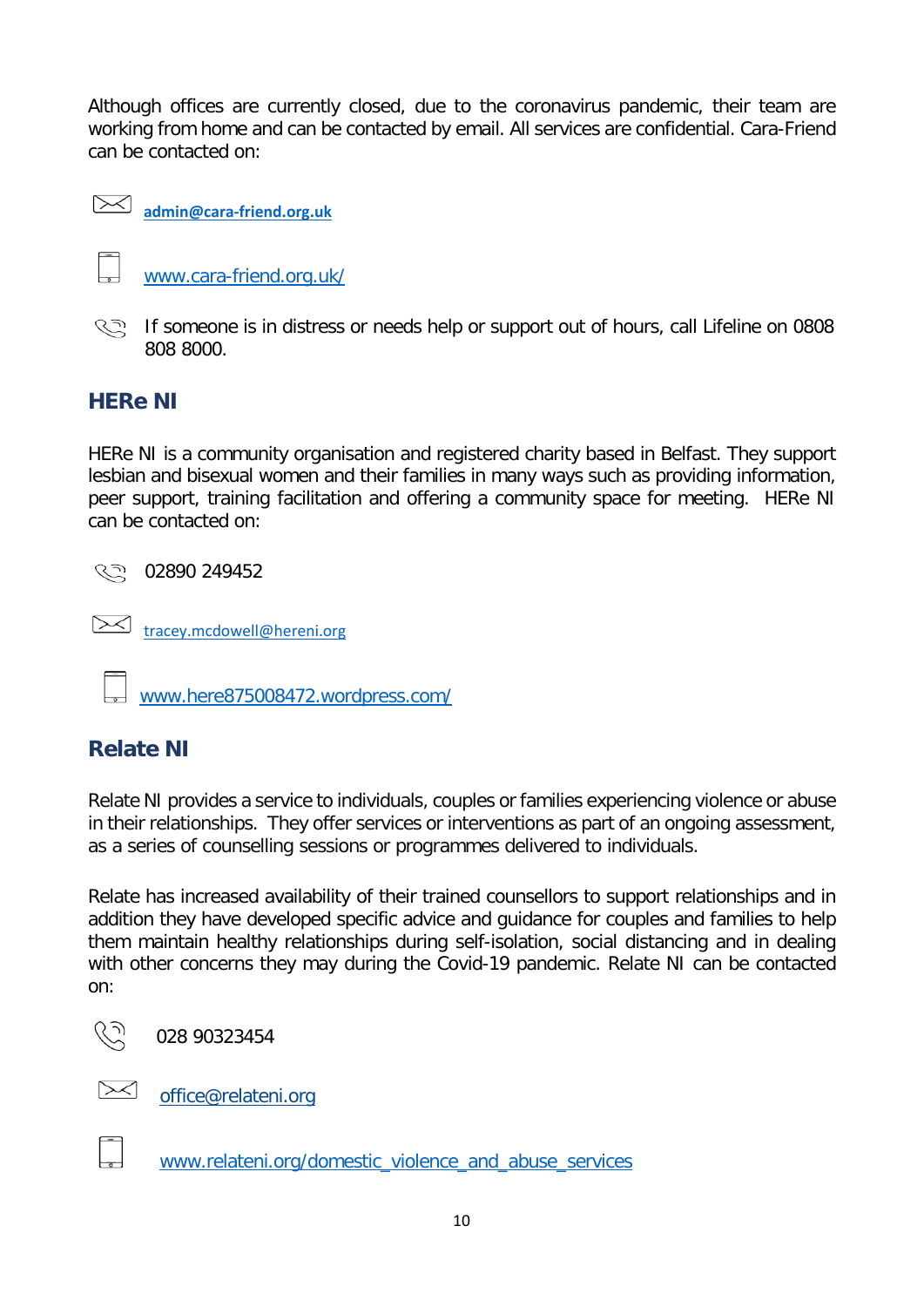Although offices are currently closed, due to the coronavirus pandemic, their team are working from home and can be contacted by email. All services are confidential. Cara-Friend can be contacted on:



**[admin@cara-friend.org.uk](mailto:admin@cara-friend.org.uk)**

 $\overline{\phantom{a}}$ [www.cara-friend.org.uk/](http://www.cara-friend.org.uk/)

**S** If someone is in distress or needs help or support out of hours, call Lifeline on 0808 808 8000.

# <span id="page-9-0"></span>**HERe NI**

HERe NI is a community organisation and registered charity based in Belfast. They support lesbian and bisexual women and their families in many ways such as providing information, peer support, training facilitation and offering a community space for meeting. HERe NI can be contacted on:

९२२ 02890 249452

[tracey.mcdowell@hereni.org](mailto:tracey.mcdowell@hereni.org)

www.here875008472.wordpress.com/

# <span id="page-9-1"></span>**Relate NI**

Relate NI provides a service to individuals, couples or families experiencing violence or abuse in their relationships. They offer services or interventions as part of an ongoing assessment, as a series of counselling sessions or programmes delivered to individuals.

Relate has increased availability of their trained counsellors to support relationships and in addition they have developed specific advice and guidance for couples and families to help them maintain healthy relationships during self-isolation, social distancing and in dealing with other concerns they may during the Covid-19 pandemic. Relate NI can be contacted on:



028 90323454



[office@relateni.org](mailto:office@relateni.org)



[www.relateni.org/domestic\\_violence\\_and\\_abuse\\_services](http://www.relateni.org/domestic_violence_and_abuse_services)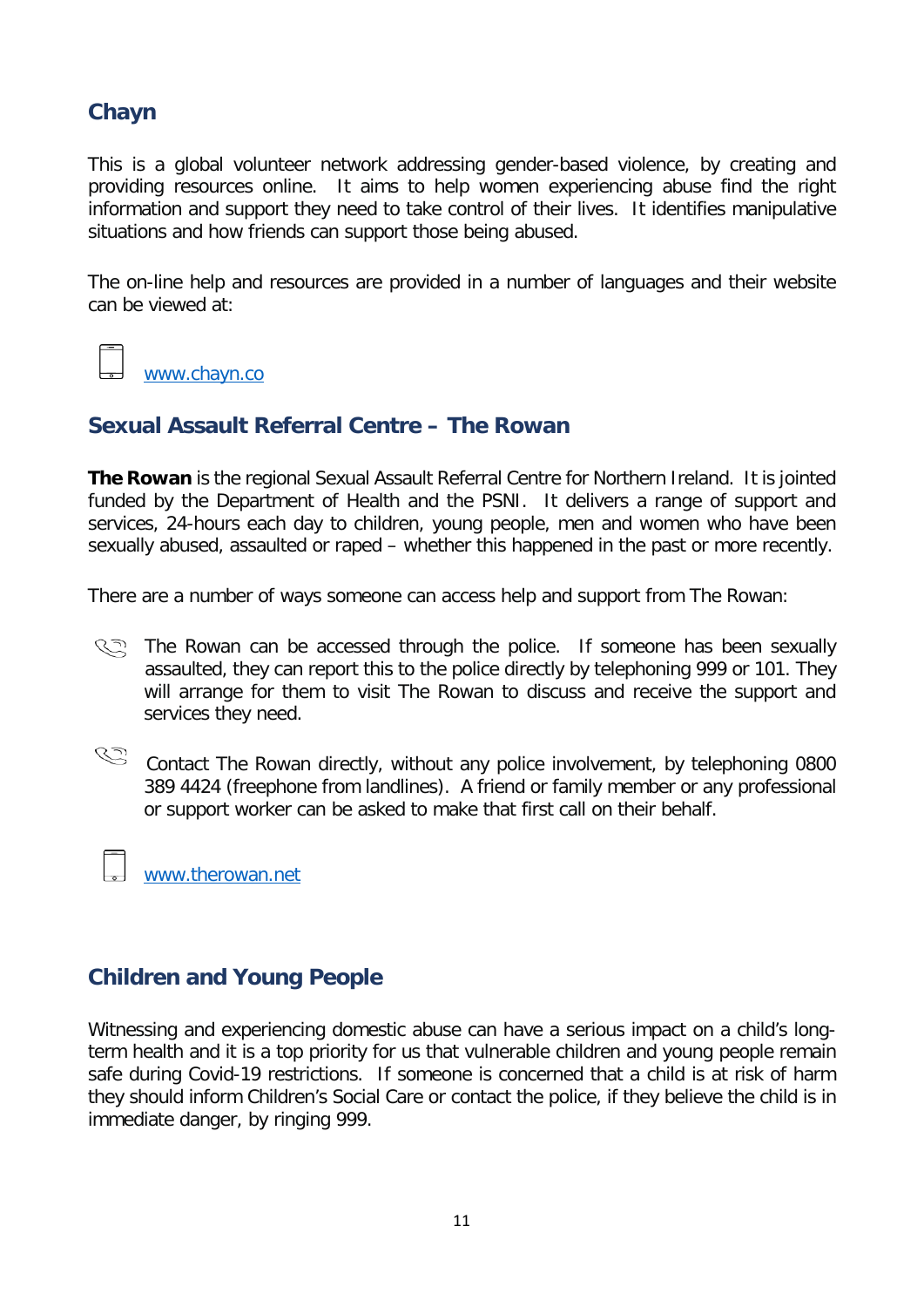### <span id="page-10-0"></span>**Chayn**

This is a global volunteer network addressing gender-based violence, by creating and providing resources online. It aims to help women experiencing abuse find the right information and support they need to take control of their lives. It identifies manipulative situations and how friends can support those being abused.

The on-line help and resources are provided in a number of languages and their website can be viewed at:

www.chayn.co

### <span id="page-10-1"></span>**Sexual Assault Referral Centre – The Rowan**

**The Rowan** is the regional Sexual Assault Referral Centre for Northern Ireland. It is jointed funded by the Department of Health and the PSNI. It delivers a range of support and services, 24-hours each day to children, young people, men and women who have been sexually abused, assaulted or raped – whether this happened in the past or more recently.

There are a number of ways someone can access help and support from The Rowan:

- **Remum** The Rowan can be accessed through the police. If someone has been sexually assaulted, they can report this to the police directly by telephoning 999 or 101. They will arrange for them to visit The Rowan to discuss and receive the support and services they need.
- C Contact The Rowan directly, without any police involvement, by telephoning 0800 389 4424 (freephone from landlines). A friend or family member or any professional or support worker can be asked to make that first call on their behalf.

[www.therowan.net](http://www.therowan.net/)

### **Children and Young People**

Witnessing and experiencing domestic abuse can have a serious impact on a child's longterm health and it is a top priority for us that vulnerable children and young people remain safe during Covid-19 restrictions. If someone is concerned that a child is at risk of harm they should inform Children's Social Care or contact the police, if they believe the child is in immediate danger, by ringing 999.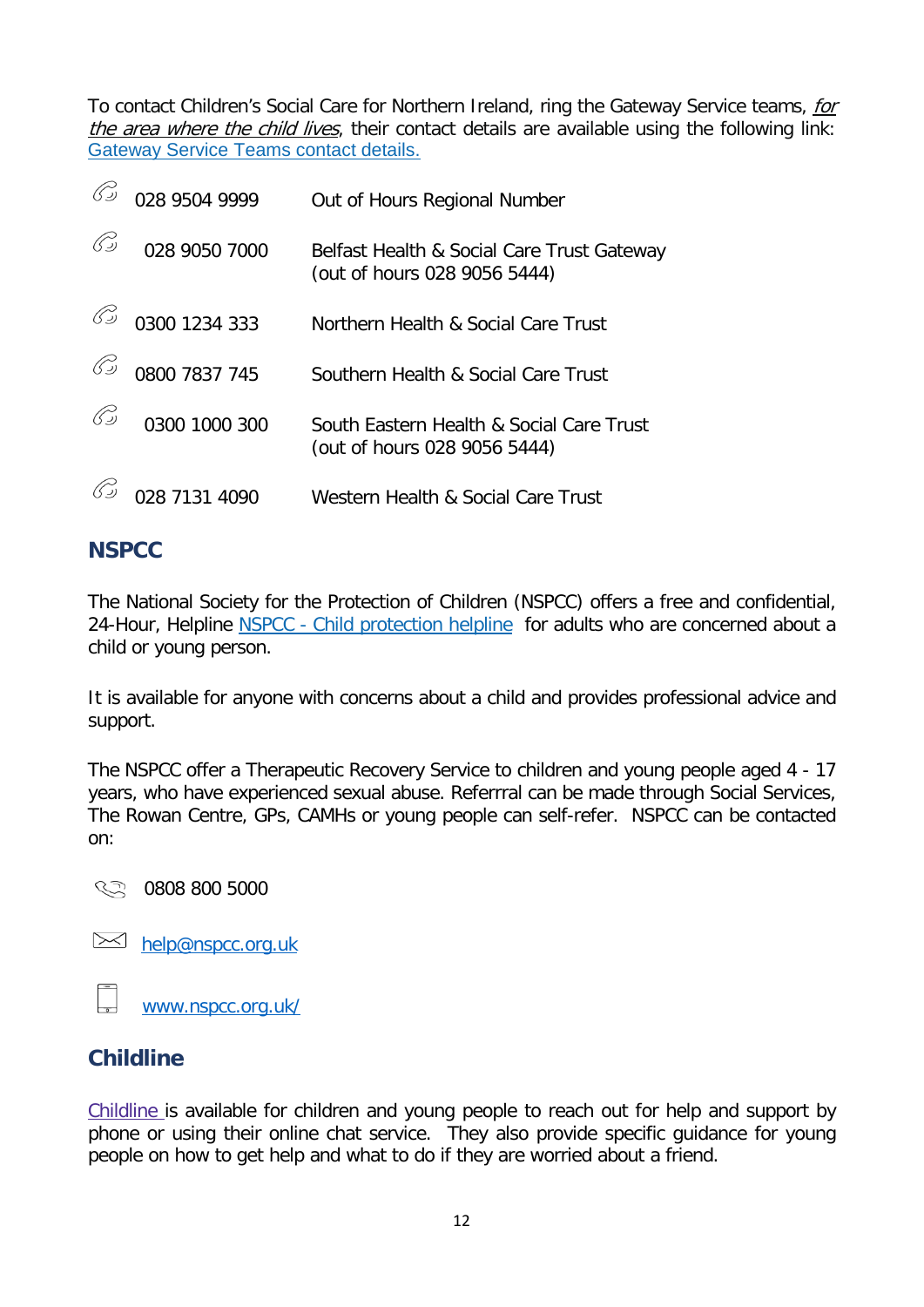To contact Children's Social Care for Northern Ireland, ring the Gateway Service teams, for the area where the child lives, their contact details are available using the following link: [Gateway Service Teams contact details.](https://www.nidirect.gov.uk/publications/gateway-service-teams-contact-details)

|               | 028 9504 9999 | Out of Hours Regional Number                                               |
|---------------|---------------|----------------------------------------------------------------------------|
| 65            | 028 9050 7000 | Belfast Health & Social Care Trust Gateway<br>(out of hours 028 9056 5444) |
| 69            | 0300 1234 333 | Northern Health & Social Care Trust                                        |
|               | 0800 7837 745 | Southern Health & Social Care Trust                                        |
| $\mathcal{C}$ | 0300 1000 300 | South Eastern Health & Social Care Trust<br>(out of hours 028 9056 5444)   |
|               | 028 7131 4090 | Western Health & Social Care Trust                                         |

# <span id="page-11-0"></span>**NSPCC**

The National Society for the Protection of Children (NSPCC) offers a free and confidential, 24-Hour, Helpline NSPCC - [Child protection helpline](https://www.nidirect.gov.uk/contacts/contacts-az/nspcc-national-society-prevention-cruelty-children-child-protection-helpline) for adults who are concerned about a child or young person.

It is available for anyone with concerns about a child and provides professional advice and support.

The NSPCC offer a Therapeutic Recovery Service to children and young people aged 4 - 17 years, who have experienced sexual abuse. Referrral can be made through Social Services, The Rowan Centre, GPs, CAMHs or young people can self-refer. NSPCC can be contacted on:

0808 800 5000

 $\bowtie$  [help@nspcc.org.uk](mailto:help@nspcc.org.uk)

[www.nspcc.org.uk/](http://www.nspcc.org.uk/)

# <span id="page-11-1"></span>**Childline**

[Childline](https://www.childline.org.uk/) is available for children and young people to reach out for help and support by phone or using their online chat service. They also provide specific guidance for young people on how to get help and what to do if they are worried about a friend.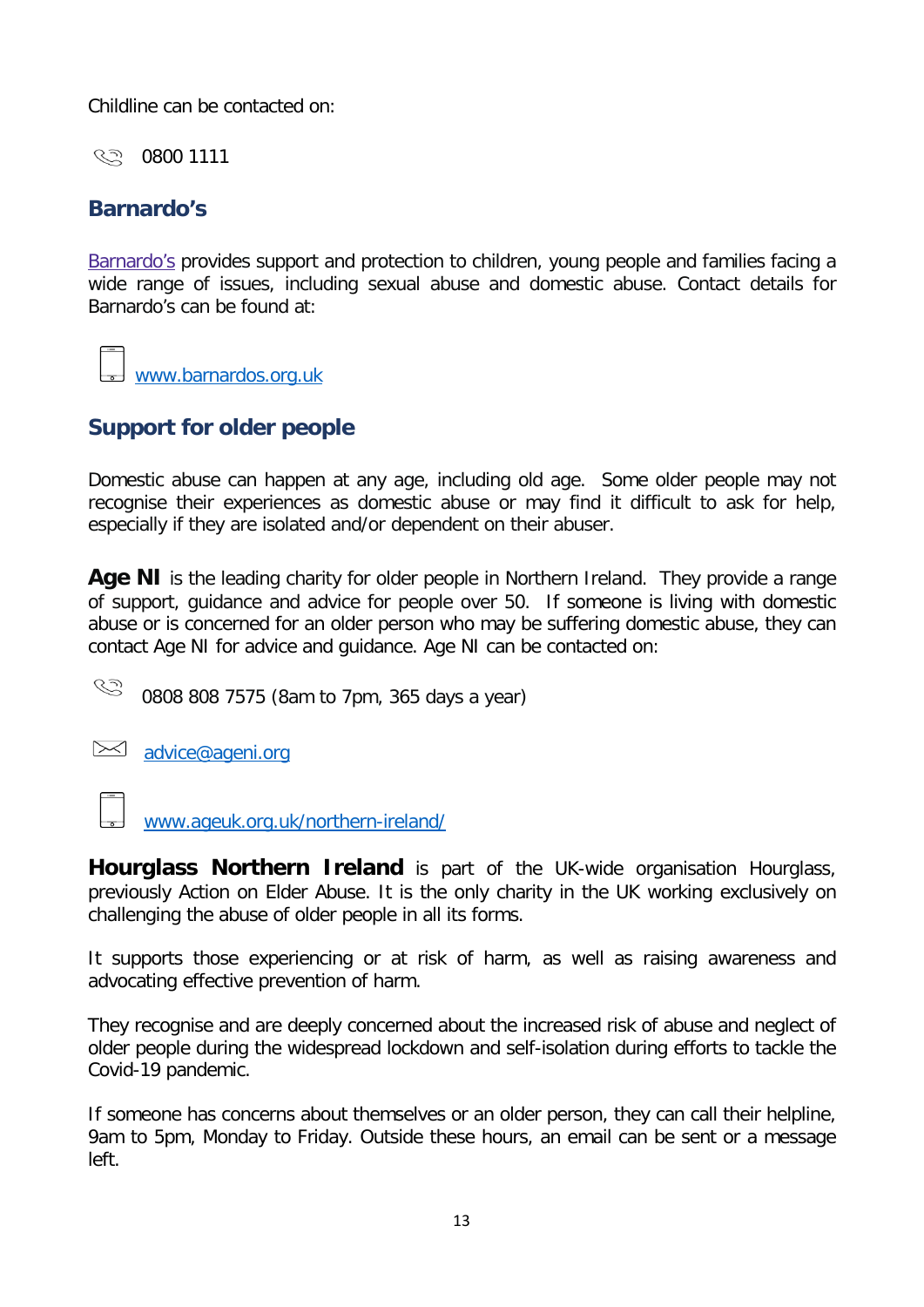Childline can be contacted on:

0800 1111

# <span id="page-12-0"></span>**Barnardo's**

[Barnardo's](https://www.barnardos.org.uk/domestic-abuse) provides support and protection to children, young people and families facing a wide range of issues, including sexual abuse and domestic abuse. Contact details for Barnardo's can be found at:

www.barnardos.org.uk

# **Support for older people**

Domestic abuse can happen at any age, including old age. Some older people may not recognise their experiences as domestic abuse or may find it difficult to ask for help, especially if they are isolated and/or dependent on their abuser.

<span id="page-12-1"></span>**Age NI** is the leading charity for older people in Northern Ireland. They provide a range of support, guidance and advice for people over 50. If someone is living with domestic abuse or is concerned for an older person who may be suffering domestic abuse, they can contact Age NI for advice and guidance. Age NI can be contacted on:

 $\mathbb{S}$ 0808 808 7575 (8am to 7pm, 365 days a year)

[advice@ageni.org](mailto:advice@ageni.org)

[www.ageuk.org.uk/northern-ireland/](http://www.ageuk.org.uk/northern-ireland/)

<span id="page-12-2"></span>**Hourglass Northern Ireland** is part of the UK-wide organisation Hourglass, previously Action on Elder Abuse. It is the only charity in the UK working exclusively on challenging the abuse of older people in all its forms.

It supports those experiencing or at risk of harm, as well as raising awareness and advocating effective prevention of harm.

They recognise and are deeply concerned about the increased risk of abuse and neglect of older people during the widespread lockdown and self-isolation during efforts to tackle the Covid-19 pandemic.

If someone has concerns about themselves or an older person, they can call their helpline, 9am to 5pm, Monday to Friday. Outside these hours, an email can be sent or a message left.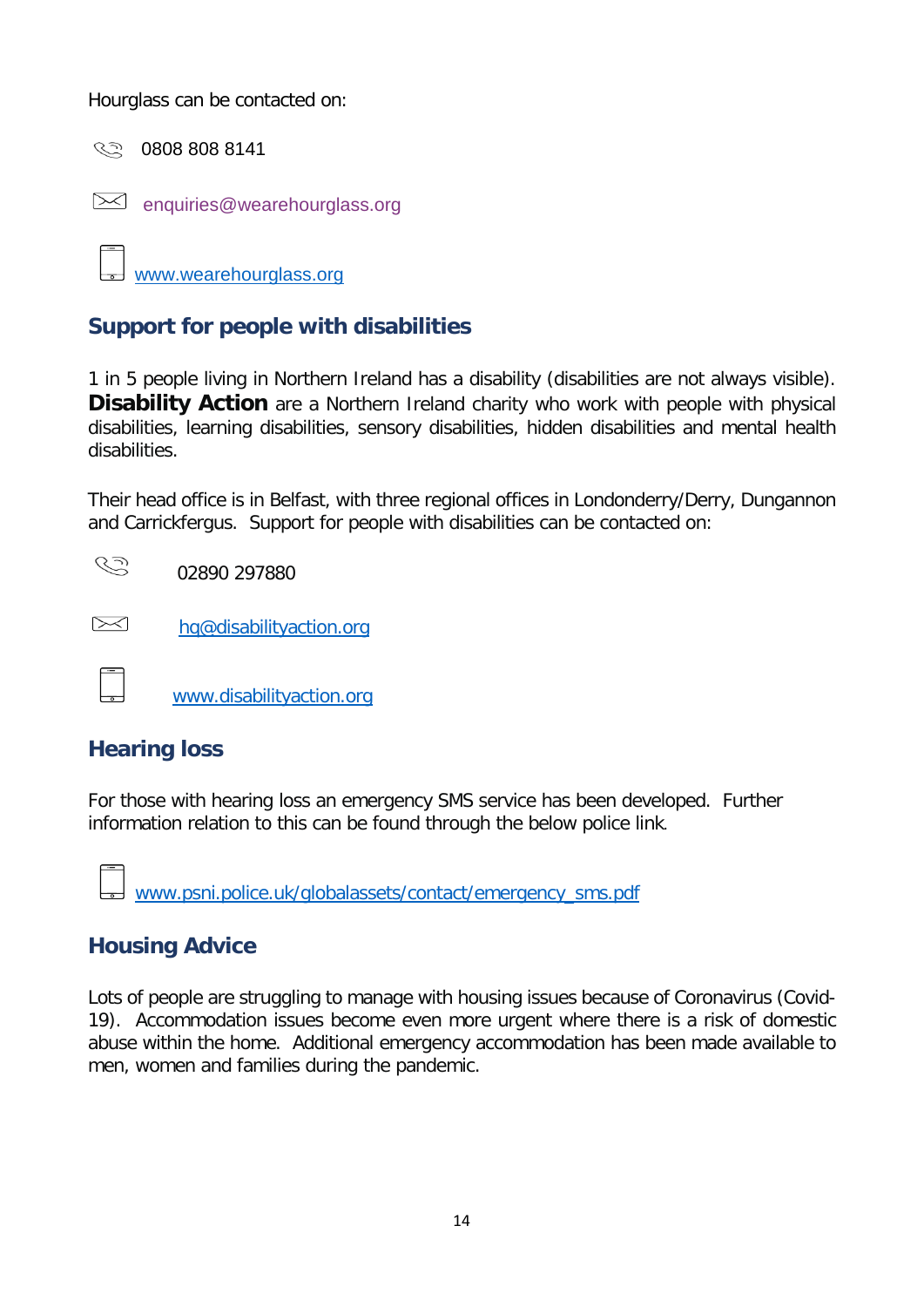Hourglass can be contacted on:

0808 808 8141

[enquiries@wearehourglass.org](mailto:enquiries@elderabuse.org.uk)

www.wearehourglass.org

# **Support for people with disabilities**

<span id="page-13-0"></span>1 in 5 people living in Northern Ireland has a disability (disabilities are not always visible). **Disability Action** are a Northern Ireland charity who work with people with physical disabilities, learning disabilities, sensory disabilities, hidden disabilities and mental health disabilities.

Their head office is in Belfast, with three regional offices in Londonderry/Derry, Dungannon and Carrickfergus. Support for people with disabilities can be contacted on:

|  |  |  |  |  |  |  |  |  |  |  |  |  |  | 02890 297880 |  |  |  | ひっ |
|--|--|--|--|--|--|--|--|--|--|--|--|--|--|--------------|--|--|--|----|

 $\approx$  [hq@disabilityaction.org](mailto:hq@disabilityaction.org)

www.disabilityaction.org

### <span id="page-13-1"></span>**Hearing loss**

For those with hearing loss an emergency SMS service has been developed. Further information relation to this can be found through the below police link.

[www.psni.police.uk/globalassets/contact/emergency\\_sms.pdf](http://www.psni.police.uk/globalassets/contact/emergency_sms.pdf)

### **Housing Advice**

Lots of people are struggling to manage with housing issues because of Coronavirus (Covid-19). Accommodation issues become even more urgent where there is a risk of domestic abuse within the home. Additional emergency accommodation has been made available to men, women and families during the pandemic.